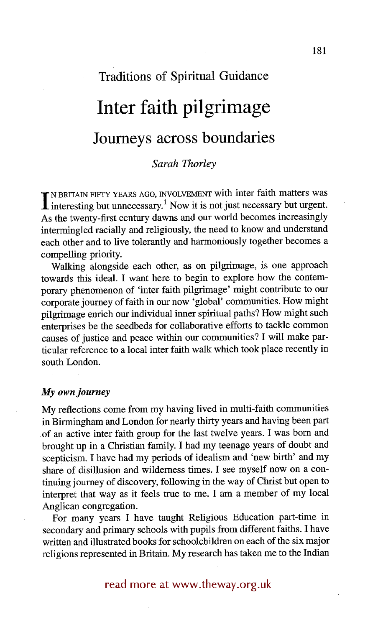# **Traditions of Spiritual Guidance Inter faith pilgrimage Journeys across boundaries**

# *Sarah Thorley*

IN BRITAIN FIFTY YEARS AGO, INVOLVEMENT with inter faith matters was<br>interesting but unnecessary.<sup>1</sup> Now it is not just necessary but urgent. As the twenty-first century dawns and our world becomes increasingly intermingled racially and religiously, the need to know and understand each other and to live tolerantly and harmoniously together becomes a compelling priority.

Walking alongside each other, as on pilgrimage, is one approach towards this ideal. I want here to begin to explore how the contemporary phenomenon of 'inter faith pilgrimage' might contribute to our corporate journey of faith in our now 'global' communities. How might pilgrimage enrich our individual inner spiritual paths? How might such enterprises be the seedbeds for collaborative efforts to tackle common causes of justice and peace within our communities? I will make particular reference to a local inter faith walk which took place recently in south London.

#### *My own journey*

My reflections come from my having lived in multi-faith communities in Birmingham and London for nearly thirty years and having been part of an active inter faith group for the last twelve years. I was born and brought up in a Christian family. I had my teenage years of doubt and scepticism. I have had my periods of idealism and 'new birth' and my share of disillusion and wilderness times. I see myself now on a continuing journey of discovery, following in the way of Christ but open to interpret that way as it feels true to me. I am a member of my local Anglican congregation.

For many years I have taught Religious Education part-time in secondary and primary schools with pupils from different faiths. I have written and illustrated books for schoolchildren on each of the six major religions represented in Britain. My research has taken me to the Indian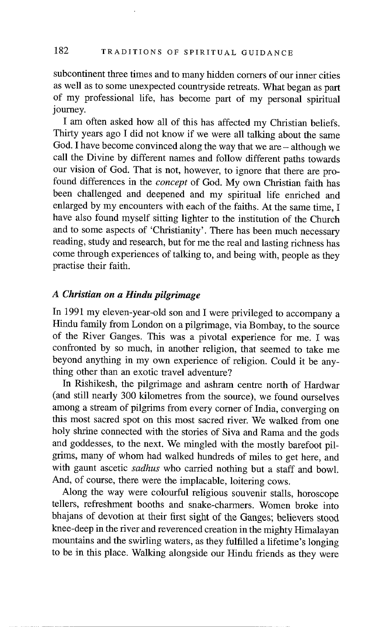# 182 TRADITIONS OF SPIRITUAL GUIDANCE

subcontinent three times and to many hidden comers of our inner cities as well as to some unexpected countryside retreats. What began as part of my professional life, has become part of my personal spiritual journey.

I am often asked how all of this has affected my Christian beliefs. Thirty years ago I did not know if we were all talking about the same God. I have become convinced along the way that we are – although we call the Divine by different names and follow different paths towards our vision of God. That is not, however, to ignore that there are profound differences in the *concept* of God. My own Christian faith has been challenged and deepened and my spiritual life enriched and enlarged by my encounters with each of the faiths. At the same time, I have also found myself sitting lighter to the institution of the Church and to some aspects of 'Christianity'. There has been much necessary reading, study and research, but for me the real and lasting richness has come through experiences of talking to, and being with, people as they practise their faith.

## *A Christian on a Hindu pilgrimage*

In 1991 my eleven-year-old son and I were privileged to accompany a Hindu family from London on a pilgrimage, via Bombay, to the source of the River Ganges. This was a pivotal experience for me. I was confronted by so much, in another religion, that seemed to take me beyond anything in my own experience of religion. Could it be anything other than an exotic travel adventure?

In Rishikesh, the pilgrimage and ashram centre north of Hardwar (and still nearly 300 kilometres from the source), we found ourselves among a stream of pilgrims from every corner of India, converging on this most sacred spot on this most sacred river. We walked from one holy shrine connected with the stories of Siva and Rama and the gods and goddesses, to the next. We mingled with the mostly barefoot pilgrims, many of whom had walked hundreds of miles to get here, and with gaunt ascetic *sadhus* who carried nothing but a staff and bowl. And, of course, there were the implacable, loitering cows.

Along the way were colourful religious souvenir stalls, horoscope tellers, refreshment booths and snake-charmers. Women broke into bhajans of devotion at their first sight of the Ganges; believers stood knee-deep in the river and reverenced creation in the mighty Himalayan mountains and the swirling waters, as they fulfilled a lifetime's longing to be in this place. Walking alongside our Hindu friends as they were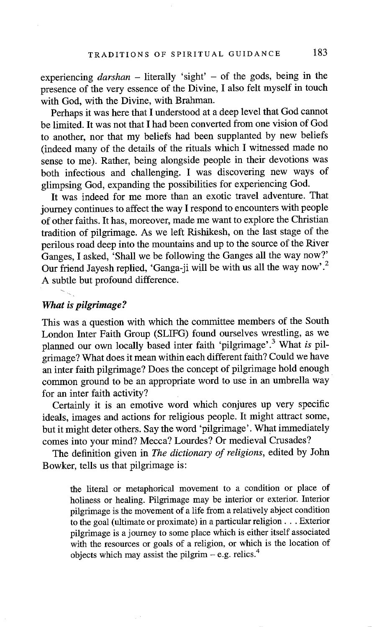experiencing *darshan* – literally 'sight' – of the gods, being in the presence of the very essence of the Divine, I also felt myself in touch with God, with the Divine, with Brahman.

Perhaps it was here that I understood at a deep level that God cannot be limited. It was not that I had been converted from one vision of God to another, nor that my beliefs had been supplanted by new beliefs (indeed many of the details of the rituals which I witnessed made no sense to me). Rather, being alongside people in their devotions was both infectious and challenging. I was discovering new ways of glimpsing God, expanding the possibilities for experiencing God.

It was indeed for me more than an exotic travel adventure. That journey continues to affect the way I respond to encounters with people of other faiths. It has, moreover, made me want to explore the Christian tradition of pilgrimage. As we left Rishikesh, on the last stage of the perilous road deep into the mountains and up to the source of the River Ganges, I asked, 'Shall we be following the Ganges all the way now?' Our friend Jayesh replied, 'Ganga-ji will be with us all the way now'.2 A subtle but profound difference.

#### *What is pilgrimage?*

This was a question with which the committee members of the South London Inter Faith Group (SLIFG) found ourselves wrestling, as we planned our own locally based inter faith 'pilgrimage'.3 What *is* pilgrimage? What does it mean within each different faith? Could we have an inter faith pilgrimage? Does the concept of pilgrimage hold enough common ground to be an appropriate word to use in an umbrella way for an inter faith activity?

Certainly it is an emotive word which conjures up very specific ideals, images and actions for religious people. It might attract some, but it might deter others. Say the word 'pilgrimage'. What immediately comes into your mind? Mecca? Lourdes? Or medieval Crusades?

The definition given in *The dictionary of religions,* edited by John Bowker, tells us that pilgrimage is:

the literal or metaphorical movement to a condition or place of holiness or healing. Pilgrimage may be interior or exterior. Interior pilgrimage is the movement of a life from a relatively abject condition to the goal (ultimate or proximate) in a particular religion... Exterior pilgrimage is a journey to some place which is either itself associated with the resources or goals of a religion, or which is the location of objects which may assist the pilgrim  $-$  e.g. relics.<sup>4</sup>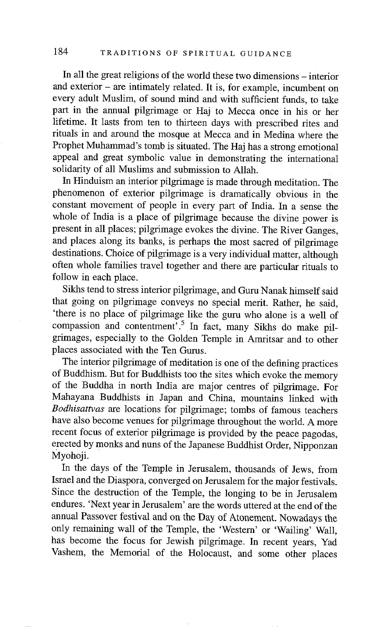In all the great religions of the world these two dimensions - interior and exterior – are intimately related. It is, for example, incumbent on every adult Muslim, of sound mind and with sufficient funds, to take part in the annual pilgrimage or Haj to Mecca once in his or her lifetime. It lasts from ten to thirteen days with prescribed rites and rituals in and around the mosque at Mecca and in Medina where the Prophet Muhammad's tomb is situated. The Haj has a strong emotional appeal and great symbolic value in demonstrating the international solidarity of all Muslims and submission to Allah.

In Hinduism an interior pilgrimage is made through meditation. The phenomenon of exterior pilgrimage is dramatically obvious in the constant movement of people in every part of India. In a sense the whole of India is a place of pilgrimage because the divine power is present in all places; pilgrimage evokes the divine. The River Ganges, and places along its banks, is perhaps the most sacred of pilgrimage destinations. Choice of pilgrimage is a very individual matter, although often whole families travel together and there are particular rituals to follow in each place.

Sikhs tend to stress interior pilgrimage, and Guru Nanak himself said that going on pilgrimage conveys no special merit. Rather, he said, 'there is no place of pilgrimage like the guru who alone is a well of compassion and contentment<sup>5</sup>.<sup>5</sup> In fact, many Sikhs do make pilgrimages, especially to the Golden Temple in Amritsar and to other places associated with the Ten Gums.

The interior pilgrimage of meditation is one of the defining practices of Buddhism. But for Buddhists too the sites which evoke the memory of the Buddha in north India are major centres of pilgrimage. For Mahayana Buddhists in Japan and China, mountains linked with *Bodhisattvas are* locations for pilgrimage; tombs of famous teachers have also become venues for pilgrimage throughout the world. A more recent focus of exterior pilgrimage is provided by the peace pagodas, erected by monks and nuns of the Japanese Buddhist Order, Nipponzan Myohoji.

In the days of the Temple in Jerusalem, thousands of Jews, from Israel and the Diaspora, converged on Jerusalem for the major festivals. Since the destruction of the Temple, the longing to be in Jerusalem endures. 'Next year in Jerusalem' are the words uttered at the end of the annual Passover festival and on the Day of Atonement. Nowadays the only remaining wall of the Temple, the 'Western' or 'Wailing' Wall, has become the focus for Jewish pilgrimage. In recent years, Yad Vashem, the Memorial of the Holocaust, and some other places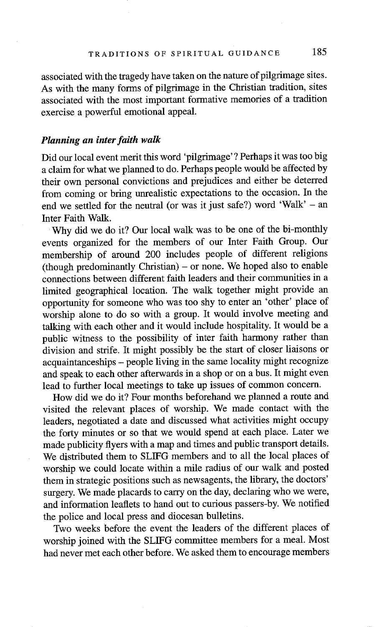associated with the tragedy have taken on the nature of pilgrimage sites. As with the many forms of pilgrimage in the Christian tradition, sites associated with the most important formative memories of a tradition exercise a powerful emotional appeal.

# *Planning an inter faith walk*

Did our local event merit this word 'pilgrimage' ? Perhaps it was too big a claim for what we planned to do. Perhaps people would be affected by their own personal convictions and prejudices and either be deterred from coming or bring unrealistic expectations to the occasion. In the end we settled for the neutral (or was it just safe?) word 'Walk'  $-$  an Inter Faith Walk.

'Why did we do it? Our local walk was to be one of the bi-monthly events organized for the members of our Inter Faith Group. Our membership of around 200 includes people of different religions  $(hough predominantly Christian) - or none.$  We hoped also to enable connections between different faith leaders and their communities in a limited geographical location. The walk together might provide an opportunity for someone who was too shy to enter an 'other' place of worship alone to do so with a group. It would involve meeting and talking with each other and it would include hospitality. It would be a public witness to the possibility of inter faith harmony rather than division and strife. It might possibly be the start of closer liaisons or acquaintanceships - people living in the same locality might recognize and speak to each other afterwards in a shop or on a bus. It might even lead to further local meetings to take up issues of common concern.

How did we do it? Four months beforehand we planned a route and visited the relevant places of worship. We made contact with the leaders, negotiated a date and discussed what activities might occupy the forty minutes or so that we would spend at each place. Later we made publicity flyers with a map and times and public transport details. We distributed them to SLIFG members and to all the local places of worship we could locate within a mile radius of our walk and posted them in strategic positions such as newsagents, the library, the doctors' surgery. We made placards to carry on the day, declaring who we were, and information leaflets to hand out to curious passers-by. We notified the police and local press and diocesan bulletins.

Two weeks before the event the leaders of the different places of worship joined with the SLIFG committee members for a meal. Most had never met each other before. We asked them to encourage members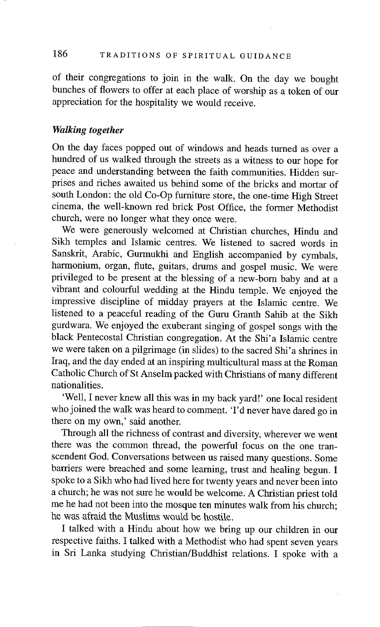# 186 TRADITIONS OF SPIRITUAL GUIDANCE

of their congregations to join in the walk. On the day we bought bunches of flowers to offer at each place of worship as a token of our appreciation for the hospitality we would receive.

## *Walking together*

On the day faces popped out of windows and heads turned as over a hundred of us walked through the streets as a witness to our hope for peace and understanding between the faith communities. Hidden surprises and riches awaited us behind some of the bricks and mortar of south London: the old Co-Op furniture store, the one-time High Street cinema, the well-known red brick Post Office, the former Methodist church, were no longer what they once were.

We were generously welcomed at Christian churches, Hindu and Sikh temples and Islamic centres. We listened to sacred words in Sanskrit, Arabic, Gurmukhi and English accompanied by cymbals, harmonium, organ, flute, guitars, drums and gospel music. We were privileged to be present at the blessing of a new-born baby and at a vibrant and colourful wedding at the Hindu temple. We enjoyed the impressive discipline of midday prayers at the Islamic centre. We listened to a peaceful reading of the Guru Granth Sahib at the Sikh gurdwara. We enjoyed the exuberant singing of gospel songs with the black Pentecostal Christian congregation. At the Shi'a Islamic centre we were taken on a pilgrimage (in slides) to the sacred Shi'a shrines in Iraq, and the day ended at an inspiring multicultural mass at the Roman Catholic Church of St Anselm packed with Christians of many different nationalities.

'Well, I never knew all this was in my back yard!' one local resident who joined the walk was heard to comment. 'I'd never have dared go in there on my own,' said another.

Through all the richness of contrast and diversity, wherever we went there was the common thread, the powerful focus on the one transcendent God. Conversations between us raised many questions. Some barriers were breached and some learning, trust and healing begun. I spoke to a Sikh who had lived here for twenty years and never been into a church; he was not sure he would be welcome. A Christian priest told me he had not been into the mosque ten minutes walk from his church; he was afraid the Muslims would be hostile.

I talked with a Hindu about how we bring up our children in our respective faiths. I talked with a Methodist who had spent seven years in Sri Lanka studying Christian/Buddhist relations. I spoke with a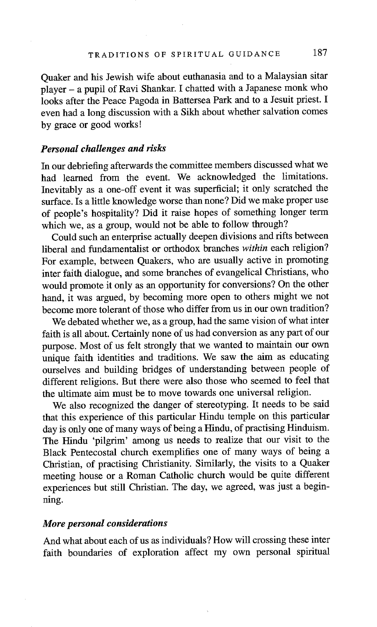Quaker and his Jewish wife about euthanasia and to a Malaysian sitar player - a pupil of Ravi Shankar. I chatted with a Japanese monk who looks after the Peace Pagoda in Battersea Park and to a Jesuit priest. I even had a long discussion with a Sikh about whether salvation comes by grace or good works!

#### *Personal challenges and risks*

In our debriefing afterwards the committee members discussed what we had learned from the event. We acknowledged the limitations. Inevitably as a one-off event it was superficial; it only scratched the surface. Is a little knowledge worse than none? Did we make proper use of people's hospitality? Did it raise hopes of something longer term which we, as a group, would not be able to follow through?

Could such an enterprise actually deepen divisions and rifts between liberal and fundamentalist or orthodox branches *within* each religion? For example, between Quakers, who are usually active in promoting inter faith dialogue, and some branches of evangelical Christians, who would promote it only as an opportunity for conversions? On the other hand, it was argued, by becoming more open to others might we not become more tolerant of those who differ from us in our own tradition?

We debated whether we, as a group, had the same vision of what inter faith is all about. Certainly none of us had conversion as any part of our purpose. Most of us felt strongly that we wanted to maintain our own unique faith identities and traditions. We saw the aim as educating ourselves and building bridges of understanding between people of different religions. But there were also those who seemed to feel that the ultimate aim must be to move towards one universal religion.

We also recognized the danger of stereotyping. It needs to be said that this experience of this particular Hindu temple on this particular day is only one of many ways of being a Hindu, of practising Hinduism. The Hindu 'pilgrim' among us needs to realize that our visit to the Black Pentecostal church exemplifies one of many ways of being a Christian, of practising Christianity. Similarly, the visits to a Quaker meeting house or a Roman Catholic church would be quite different experiences but still Christian. The day, we agreed, was just a beginning.

#### *More personal considerations*

And what about each of us as individuals? How will crossing these inter faith boundaries of exploration affect my own personal spiritual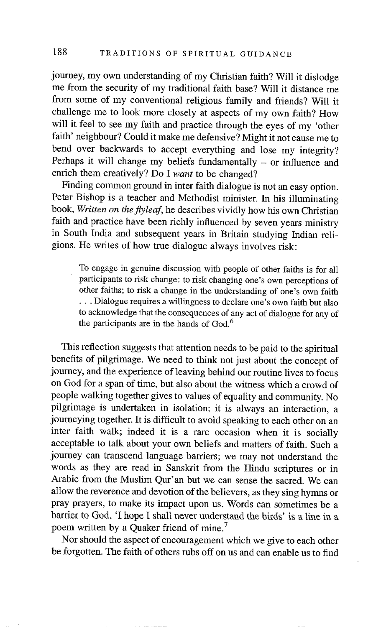journey, my own understanding of my Christian faith? Will it dislodge me from the security of my traditional faith base? Will it distance me from some of my conventional religious family and friends? Will it challenge me to look more closely at aspects of my own faith? How will it feel to see my faith and practice through the eyes of my 'other faith' neighbour? Could it make me defensive? Might it not cause me to bend over backwards to accept everything and lose my integrity? Perhaps it will change my beliefs fundamentally  $-$  or influence and enrich them creatively? Do I *want* to be changed?

Finding common ground in inter faith dialogue is not an easy option. Peter Bishop is a teacher and Methodist minister. In his illuminating book, *Written on the flyleaf,* he describes vividly how his own Christian faith and practice have been richly influenced by seven years ministry in South India and subsequent years in Britain studying Indian religions. He writes of how true dialogue always involves risk:

To engage in genuine discussion with people of other faiths is for all participants to risk change: to risk changing one's own perceptions of other faiths; to risk a change in the understanding of one's own faith **•..** Dialogue requires a willingness to declare one's own faith but also to acknowledge that the consequences of any act of dialogue for any of the participants are in the hands of God. 6

This reflection suggests that attention needs to be paid to the spiritual benefits of pilgrimage. We need to think not just about the concept of journey, and the experience of leaving behind our routine lives to focus on God for a span of time, but also about the witness which a crowd of people walking together gives to values of equality and community. No pilgrimage is undertaken in isolation; it is always an interaction, a journeying together. It is difficult to avoid speaking to each other on an inter faith walk; indeed it is a rare occasion when it is socially acceptable to talk about your own beliefs and matters of faith. Such a journey can transcend language barriers; we may not understand the words as they are read in Sanskrit from the Hindu scriptures or in Arabic from the Muslim Qur'an but we can sense the sacred. We can allow the reverence and devotion of the believers, as they sing hymns or pray prayers, to make its impact upon us. Words can sometimes be a barrier to God. 'I hope I shall never understand the birds' is a line in a poem written by a Quaker friend of mine.<sup>7</sup>

Nor should the aspect of encouragement which we give to each other be forgotten. The faith of others rubs off on us and can enable us to find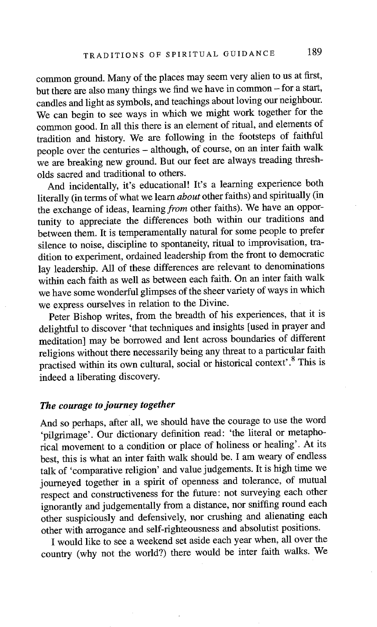common ground. Many of the places may seem very alien to us at first, but there are also many things we find we have in common - for a start, candles and light as symbols, and teachings about loving our neighbour. We can begin to see ways in which we might work together for the common good. In all this there is an element of ritual, and elements of tradition and history. We are following in the footsteps of faithful people over the centuries - although, of course, on an inter faith walk we are breaking new ground. But our feet are always treading thresholds sacred and traditional to others.

And incidentally, it's educational! It's a learning experience both literally (in terms of what we learn *about* other faiths) and spiritually (in the exchange of ideas, learning *from* other faiths). We have an opportunity to appreciate the differences both within our traditions and between them. It is temperamentally natural for some people to prefer silence to noise, discipline to spontaneity, ritual to improvisation, tradition to experiment, ordained leadership from the front to democratic lay leadership. All of these differences are relevant to denominations within each faith as well as between each faith. On an inter faith walk we have some wonderful glimpses of the sheer variety of ways in which we express ourselves in relation to the Divine.

Peter Bishop writes, from the breadth of his experiences, that it is delightful to discover 'that techniques and insights [used in prayer and meditation] may be borrowed and lent across boundaries of different religions without there necessarily being any threat to a particular faith practised within its own cultural, social or historical context'.<sup>8</sup> This is indeed a liberating discovery.

# *The courage to journey together*

And so perhaps, after all, we should have the courage to use the word 'pilgrimage'. Our dictionary definition read: 'the literal or metaphorical movement to a condition or place of holiness or healing'. At its best, this is what an inter faith walk should be. I am weary of endless talk of 'comparative religion' and value judgements. It is high time we journeyed together in a spirit of openness and tolerance, of mutual respect and constructiveness for the future: not surveying each other ignorantly and judgementally from a distance, nor sniffing round each other suspiciously and defensively, nor crushing and alienating each other with arrogance and self-righteousness and absolutist positions.

I would like to see a weekend set aside each year when, all over the country (why not the world?) there would be inter faith walks. We